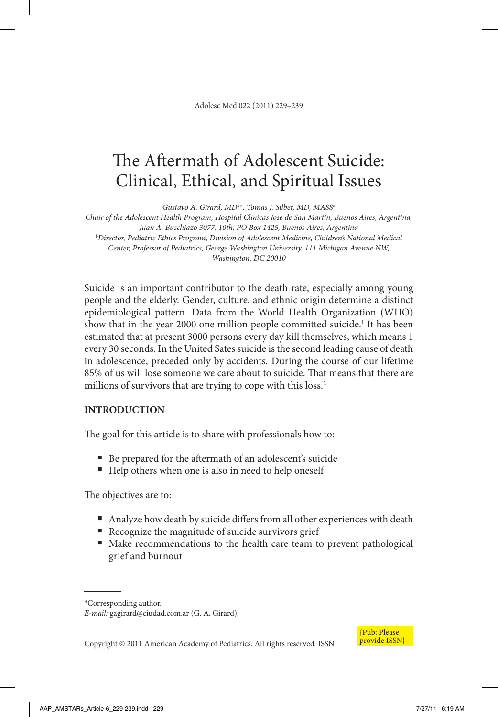Adolesc Med 022 (2011) 229–239

# The Aftermath of Adolescent Suicide: Clinical, Ethical, and Spiritual Issues

Gustavo A. Girard, MD<sup>a\*</sup>, Tomas J. Silber, MD, MASS<sup>b</sup>

*Chair of the Adolescent Health Program, Hospital Clinicas Jose de San Martín, Buenos Aires, Argentina, Juan A. Buschiazo 3077, 10th, PO Box 1425, Buenos Aires, Argentina b Director, Pediatric Ethics Program, Division of Adolescent Medicine, Children's National Medical Center, Professor of Pediatrics, George Washington University, 111 Michigan Avenue NW, Washington, DC 20010*

Suicide is an important contributor to the death rate, especially among young people and the elderly. Gender, culture, and ethnic origin determine a distinct epidemiological pattern. Data from the World Health Organization (WHO) show that in the year 2000 one million people committed suicide.<sup>1</sup> It has been estimated that at present 3000 persons every day kill themselves, which means 1 every 30 seconds. In the United Sates suicide is the second leading cause of death in adolescence, preceded only by accidents*.* During the course of our lifetime 85% of us will lose someone we care about to suicide. That means that there are millions of survivors that are trying to cope with this loss.<sup>2</sup>

#### **Introduction**

The goal for this article is to share with professionals how to:

- Be prepared for the aftermath of an adolescent's suicide
- Help others when one is also in need to help oneself

The objectives are to:

- Analyze how death by suicide differs from all other experiences with death
- Recognize the magnitude of suicide survivors grief
- Make recommendations to the health care team to prevent pathological grief and burnout



Copyright © 2011 American Academy of Pediatrics. All rights reserved. ISSN

<sup>\*</sup>Corresponding author. *E-mail:* gagirard@ciudad.com.ar (G. A. Girard).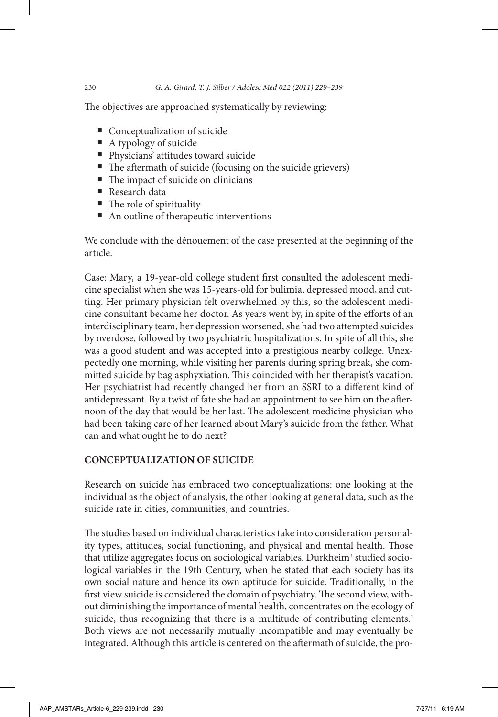The objectives are approached systematically by reviewing:

- Conceptualization of suicide
- A typology of suicide
- Physicians' attitudes toward suicide
- The aftermath of suicide (focusing on the suicide grievers)
- The impact of suicide on clinicians
- Research data
- The role of spirituality
- An outline of therapeutic interventions

We conclude with the dénouement of the case presented at the beginning of the article.

Case: Mary, a 19-year-old college student first consulted the adolescent medicine specialist when she was 15-years-old for bulimia, depressed mood, and cutting. Her primary physician felt overwhelmed by this, so the adolescent medicine consultant became her doctor. As years went by, in spite of the efforts of an interdisciplinary team, her depression worsened, she had two attempted suicides by overdose, followed by two psychiatric hospitalizations. In spite of all this, she was a good student and was accepted into a prestigious nearby college. Unexpectedly one morning, while visiting her parents during spring break, she committed suicide by bag asphyxiation. This coincided with her therapist's vacation. Her psychiatrist had recently changed her from an SSRI to a different kind of antidepressant. By a twist of fate she had an appointment to see him on the afternoon of the day that would be her last. The adolescent medicine physician who had been taking care of her learned about Mary's suicide from the father. What can and what ought he to do next?

## **Conceptualization of Suicide**

Research on suicide has embraced two conceptualizations: one looking at the individual as the object of analysis, the other looking at general data, such as the suicide rate in cities, communities, and countries.

The studies based on individual characteristics take into consideration personality types, attitudes, social functioning, and physical and mental health. Those that utilize aggregates focus on sociological variables. Durkheim<sup>3</sup> studied sociological variables in the 19th Century, when he stated that each society has its own social nature and hence its own aptitude for suicide. Traditionally, in the first view suicide is considered the domain of psychiatry. The second view, without diminishing the importance of mental health, concentrates on the ecology of suicide, thus recognizing that there is a multitude of contributing elements.<sup>4</sup> Both views are not necessarily mutually incompatible and may eventually be integrated. Although this article is centered on the aftermath of suicide, the pro-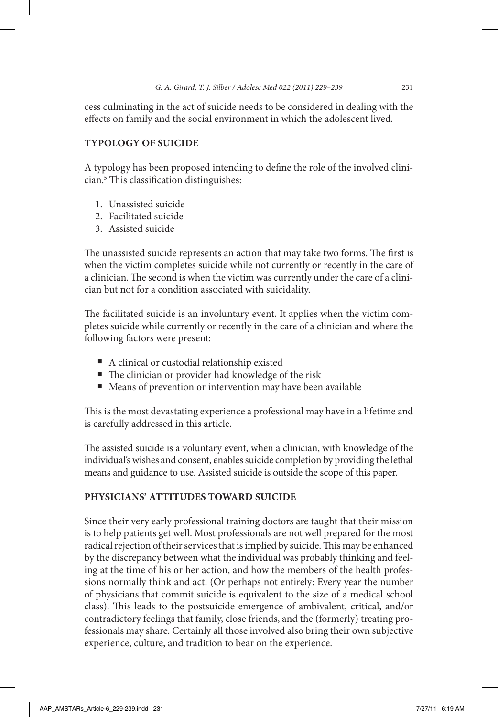cess culminating in the act of suicide needs to be considered in dealing with the effects on family and the social environment in which the adolescent lived.

#### **Typology of Suicide**

A typology has been proposed intending to define the role of the involved clinician.5 This classification distinguishes:

- 1. Unassisted suicide
- 2. Facilitated suicide
- 3. Assisted suicide

The unassisted suicide represents an action that may take two forms. The first is when the victim completes suicide while not currently or recently in the care of a clinician. The second is when the victim was currently under the care of a clinician but not for a condition associated with suicidality.

The facilitated suicide is an involuntary event. It applies when the victim completes suicide while currently or recently in the care of a clinician and where the following factors were present:

- A clinical or custodial relationship existed
- The clinician or provider had knowledge of the risk
- Means of prevention or intervention may have been available

This is the most devastating experience a professional may have in a lifetime and is carefully addressed in this article.

The assisted suicide is a voluntary event, when a clinician, with knowledge of the individual's wishes and consent, enables suicide completion by providing the lethal means and guidance to use. Assisted suicide is outside the scope of this paper.

#### **Physicians' Attitudes Toward Suicide**

Since their very early professional training doctors are taught that their mission is to help patients get well. Most professionals are not well prepared for the most radical rejection of their services that is implied by suicide. This may be enhanced by the discrepancy between what the individual was probably thinking and feeling at the time of his or her action, and how the members of the health professions normally think and act. (Or perhaps not entirely: Every year the number of physicians that commit suicide is equivalent to the size of a medical school class). This leads to the postsuicide emergence of ambivalent, critical, and/or contradictory feelings that family, close friends, and the (formerly) treating professionals may share. Certainly all those involved also bring their own subjective experience, culture, and tradition to bear on the experience.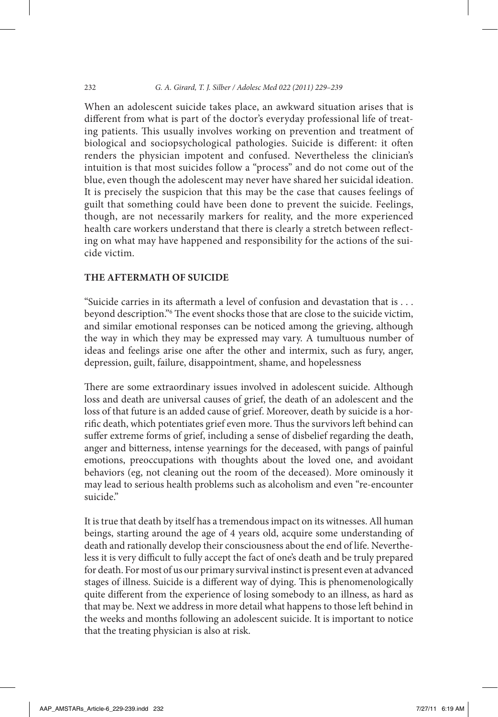#### 232 *G. A. Girard, T. J. Silber / Adolesc Med 022 (2011) 229–239*

When an adolescent suicide takes place, an awkward situation arises that is different from what is part of the doctor's everyday professional life of treating patients. This usually involves working on prevention and treatment of biological and sociopsychological pathologies. Suicide is different: it often renders the physician impotent and confused. Nevertheless the clinician's intuition is that most suicides follow a "process" and do not come out of the blue, even though the adolescent may never have shared her suicidal ideation. It is precisely the suspicion that this may be the case that causes feelings of guilt that something could have been done to prevent the suicide. Feelings, though, are not necessarily markers for reality, and the more experienced health care workers understand that there is clearly a stretch between reflecting on what may have happened and responsibility for the actions of the suicide victim.

#### **The Aftermath of Suicide**

"Suicide carries in its aftermath a level of confusion and devastation that is . . . beyond description."6 The event shocks those that are close to the suicide victim, and similar emotional responses can be noticed among the grieving, although the way in which they may be expressed may vary. A tumultuous number of ideas and feelings arise one after the other and intermix, such as fury, anger, depression, guilt, failure, disappointment, shame, and hopelessness

There are some extraordinary issues involved in adolescent suicide. Although loss and death are universal causes of grief, the death of an adolescent and the loss of that future is an added cause of grief. Moreover, death by suicide is a horrific death, which potentiates grief even more. Thus the survivors left behind can suffer extreme forms of grief, including a sense of disbelief regarding the death, anger and bitterness, intense yearnings for the deceased, with pangs of painful emotions, preoccupations with thoughts about the loved one, and avoidant behaviors (eg, not cleaning out the room of the deceased). More ominously it may lead to serious health problems such as alcoholism and even "re-encounter suicide."

It is true that death by itself has a tremendous impact on its witnesses. All human beings, starting around the age of 4 years old, acquire some understanding of death and rationally develop their consciousness about the end of life. Nevertheless it is very difficult to fully accept the fact of one's death and be truly prepared for death. For most of us our primary survival instinct is present even at advanced stages of illness. Suicide is a different way of dying. This is phenomenologically quite different from the experience of losing somebody to an illness, as hard as that may be. Next we address in more detail what happens to those left behind in the weeks and months following an adolescent suicide. It is important to notice that the treating physician is also at risk.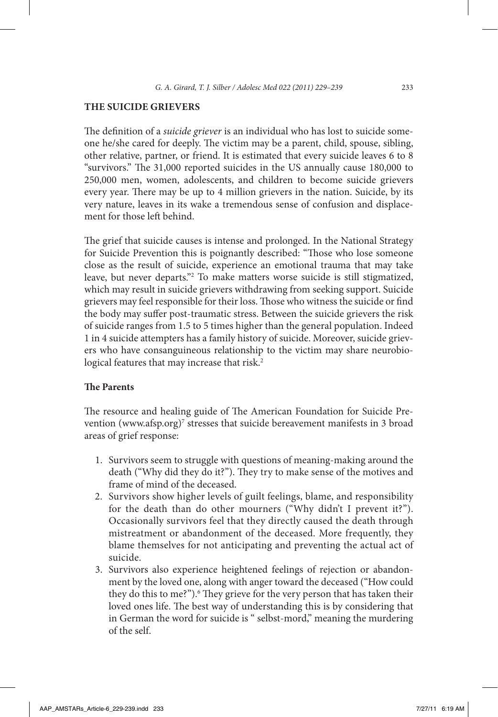#### **The Suicide Grievers**

The definition of a *suicide griever* is an individual who has lost to suicide someone he/she cared for deeply. The victim may be a parent, child, spouse, sibling, other relative, partner, or friend. It is estimated that every suicide leaves 6 to 8 "survivors." The 31,000 reported suicides in the US annually cause 180,000 to 250,000 men, women, adolescents, and children to become suicide grievers every year. There may be up to 4 million grievers in the nation. Suicide, by its very nature, leaves in its wake a tremendous sense of confusion and displacement for those left behind.

The grief that suicide causes is intense and prolonged. In the National Strategy for Suicide Prevention this is poignantly described: "Those who lose someone close as the result of suicide, experience an emotional trauma that may take leave, but never departs."2 To make matters worse suicide is still stigmatized, which may result in suicide grievers withdrawing from seeking support. Suicide grievers may feel responsible for their loss. Those who witness the suicide or find the body may suffer post-traumatic stress. Between the suicide grievers the risk of suicide ranges from 1.5 to 5 times higher than the general population. Indeed 1 in 4 suicide attempters has a family history of suicide. Moreover, suicide grievers who have consanguineous relationship to the victim may share neurobiological features that may increase that risk.<sup>2</sup>

#### **The Parents**

The resource and healing guide of The American Foundation for Suicide Prevention (www.afsp.org)<sup>7</sup> stresses that suicide bereavement manifests in 3 broad areas of grief response:

- 1. Survivors seem to struggle with questions of meaning-making around the death ("Why did they do it?"). They try to make sense of the motives and frame of mind of the deceased.
- 2. Survivors show higher levels of guilt feelings, blame, and responsibility for the death than do other mourners ("Why didn't I prevent it?"). Occasionally survivors feel that they directly caused the death through mistreatment or abandonment of the deceased. More frequently, they blame themselves for not anticipating and preventing the actual act of suicide.
- 3. Survivors also experience heightened feelings of rejection or abandonment by the loved one, along with anger toward the deceased ("How could they do this to me?").<sup>6</sup> They grieve for the very person that has taken their loved ones life. The best way of understanding this is by considering that in German the word for suicide is " selbst-mord," meaning the murdering of the self.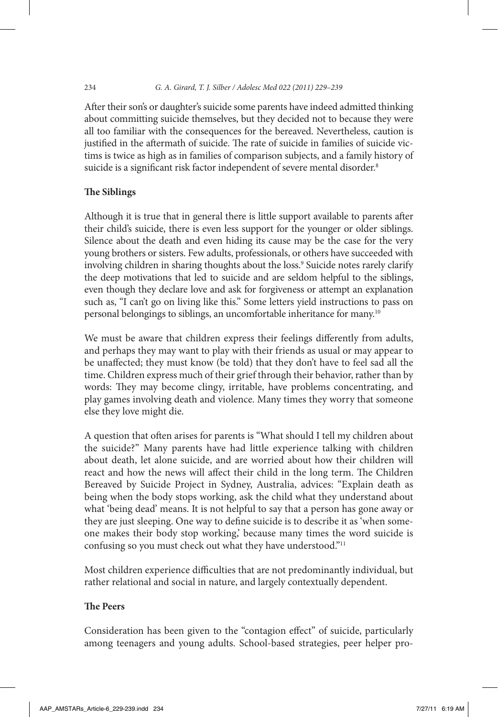After their son's or daughter's suicide some parents have indeed admitted thinking about committing suicide themselves, but they decided not to because they were all too familiar with the consequences for the bereaved. Nevertheless, caution is justified in the aftermath of suicide. The rate of suicide in families of suicide victims is twice as high as in families of comparison subjects, and a family history of suicide is a significant risk factor independent of severe mental disorder.<sup>8</sup>

#### **The Siblings**

Although it is true that in general there is little support available to parents after their child's suicide, there is even less support for the younger or older siblings. Silence about the death and even hiding its cause may be the case for the very young brothers or sisters. Few adults, professionals, or others have succeeded with involving children in sharing thoughts about the loss.9 Suicide notes rarely clarify the deep motivations that led to suicide and are seldom helpful to the siblings, even though they declare love and ask for forgiveness or attempt an explanation such as, "I can't go on living like this." Some letters yield instructions to pass on personal belongings to siblings, an uncomfortable inheritance for many.10

We must be aware that children express their feelings differently from adults, and perhaps they may want to play with their friends as usual or may appear to be unaffected; they must know (be told) that they don't have to feel sad all the time. Children express much of their grief through their behavior, rather than by words: They may become clingy, irritable, have problems concentrating, and play games involving death and violence. Many times they worry that someone else they love might die.

A question that often arises for parents is "What should I tell my children about the suicide?" Many parents have had little experience talking with children about death, let alone suicide, and are worried about how their children will react and how the news will affect their child in the long term. The Children Bereaved by Suicide Project in Sydney, Australia, advices: "Explain death as being when the body stops working, ask the child what they understand about what 'being dead' means. It is not helpful to say that a person has gone away or they are just sleeping. One way to define suicide is to describe it as 'when someone makes their body stop working,' because many times the word suicide is confusing so you must check out what they have understood."<sup>11</sup>

Most children experience difficulties that are not predominantly individual, but rather relational and social in nature, and largely contextually dependent.

## **The Peers**

Consideration has been given to the "contagion effect" of suicide, particularly among teenagers and young adults. School-based strategies, peer helper pro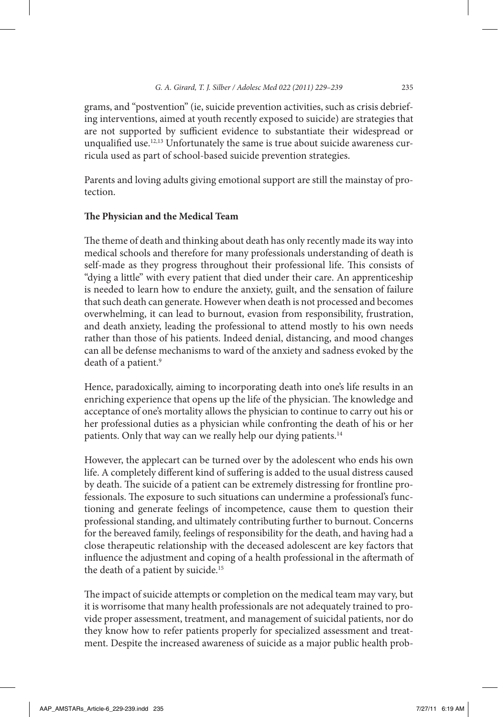grams, and "postvention" (ie, suicide prevention activities, such as crisis debriefing interventions, aimed at youth recently exposed to suicide) are strategies that are not supported by sufficient evidence to substantiate their widespread or unqualified use.<sup>12,13</sup> Unfortunately the same is true about suicide awareness curricula used as part of school-based suicide prevention strategies.

Parents and loving adults giving emotional support are still the mainstay of protection.

#### **The Physician and the Medical Team**

The theme of death and thinking about death has only recently made its way into medical schools and therefore for many professionals understanding of death is self-made as they progress throughout their professional life. This consists of "dying a little" with every patient that died under their care. An apprenticeship is needed to learn how to endure the anxiety, guilt, and the sensation of failure that such death can generate. However when death is not processed and becomes overwhelming, it can lead to burnout, evasion from responsibility, frustration, and death anxiety, leading the professional to attend mostly to his own needs rather than those of his patients. Indeed denial, distancing, and mood changes can all be defense mechanisms to ward of the anxiety and sadness evoked by the death of a patient.<sup>9</sup>

Hence, paradoxically, aiming to incorporating death into one's life results in an enriching experience that opens up the life of the physician. The knowledge and acceptance of one's mortality allows the physician to continue to carry out his or her professional duties as a physician while confronting the death of his or her patients. Only that way can we really help our dying patients.<sup>14</sup>

However, the applecart can be turned over by the adolescent who ends his own life. A completely different kind of suffering is added to the usual distress caused by death. The suicide of a patient can be extremely distressing for frontline professionals. The exposure to such situations can undermine a professional's functioning and generate feelings of incompetence, cause them to question their professional standing, and ultimately contributing further to burnout. Concerns for the bereaved family, feelings of responsibility for the death, and having had a close therapeutic relationship with the deceased adolescent are key factors that influence the adjustment and coping of a health professional in the aftermath of the death of a patient by suicide.<sup>15</sup>

The impact of suicide attempts or completion on the medical team may vary, but it is worrisome that many health professionals are not adequately trained to provide proper assessment, treatment, and management of suicidal patients, nor do they know how to refer patients properly for specialized assessment and treatment. Despite the increased awareness of suicide as a major public health prob-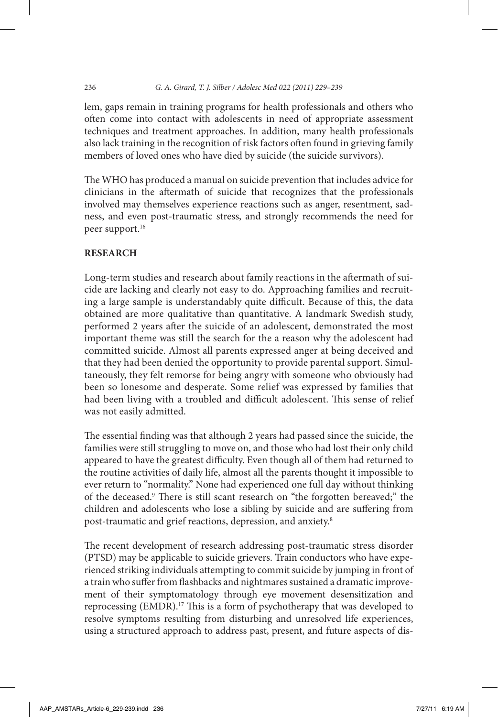#### 236 *G. A. Girard, T. J. Silber / Adolesc Med 022 (2011) 229–239*

lem, gaps remain in training programs for health professionals and others who often come into contact with adolescents in need of appropriate assessment techniques and treatment approaches. In addition, many health professionals also lack training in the recognition of risk factors often found in grieving family members of loved ones who have died by suicide (the suicide survivors).

The WHO has produced a manual on suicide prevention that includes advice for clinicians in the aftermath of suicide that recognizes that the professionals involved may themselves experience reactions such as anger, resentment, sadness, and even post-traumatic stress, and strongly recommends the need for peer support.<sup>16</sup>

## **Research**

Long-term studies and research about family reactions in the aftermath of suicide are lacking and clearly not easy to do. Approaching families and recruiting a large sample is understandably quite difficult. Because of this, the data obtained are more qualitative than quantitative. A landmark Swedish study, performed 2 years after the suicide of an adolescent, demonstrated the most important theme was still the search for the a reason why the adolescent had committed suicide. Almost all parents expressed anger at being deceived and that they had been denied the opportunity to provide parental support. Simultaneously, they felt remorse for being angry with someone who obviously had been so lonesome and desperate. Some relief was expressed by families that had been living with a troubled and difficult adolescent. This sense of relief was not easily admitted.

The essential finding was that although 2 years had passed since the suicide, the families were still struggling to move on, and those who had lost their only child appeared to have the greatest difficulty. Even though all of them had returned to the routine activities of daily life, almost all the parents thought it impossible to ever return to "normality." None had experienced one full day without thinking of the deceased.<sup>9</sup> There is still scant research on "the forgotten bereaved;" the children and adolescents who lose a sibling by suicide and are suffering from post-traumatic and grief reactions, depression, and anxiety.8

The recent development of research addressing post-traumatic stress disorder (PTSD) may be applicable to suicide grievers. Train conductors who have experienced striking individuals attempting to commit suicide by jumping in front of a train who suffer from flashbacks and nightmares sustained a dramatic improvement of their symptomatology through eye movement desensitization and reprocessing (EMDR).17 This is a form of psychotherapy that was developed to resolve symptoms resulting from disturbing and unresolved life experiences, using a structured approach to address past, present, and future aspects of dis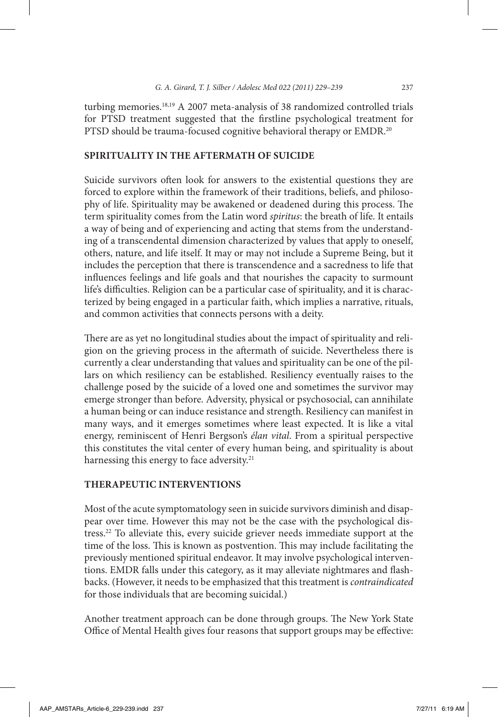turbing memories.18,19 A 2007 meta-analysis of 38 randomized controlled trials for PTSD treatment suggested that the firstline psychological treatment for PTSD should be trauma-focused cognitive behavioral therapy or EMDR.<sup>20</sup>

#### **Spirituality in the Aftermath of Suicide**

Suicide survivors often look for answers to the existential questions they are forced to explore within the framework of their traditions, beliefs, and philosophy of life. Spirituality may be awakened or deadened during this process. The term spirituality comes from the Latin word *spiritus*: the breath of life. It entails a way of being and of experiencing and acting that stems from the understanding of a transcendental dimension characterized by values that apply to oneself, others, nature, and life itself. It may or may not include a Supreme Being, but it includes the perception that there is transcendence and a sacredness to life that influences feelings and life goals and that nourishes the capacity to surmount life's difficulties. Religion can be a particular case of spirituality, and it is characterized by being engaged in a particular faith, which implies a narrative, rituals, and common activities that connects persons with a deity.

There are as yet no longitudinal studies about the impact of spirituality and religion on the grieving process in the aftermath of suicide. Nevertheless there is currently a clear understanding that values and spirituality can be one of the pillars on which resiliency can be established. Resiliency eventually raises to the challenge posed by the suicide of a loved one and sometimes the survivor may emerge stronger than before. Adversity, physical or psychosocial, can annihilate a human being or can induce resistance and strength. Resiliency can manifest in many ways, and it emerges sometimes where least expected. It is like a vital energy, reminiscent of Henri Bergson's *élan vital*. From a spiritual perspective this constitutes the vital center of every human being, and spirituality is about harnessing this energy to face adversity.<sup>21</sup>

#### **Therapeutic Interventions**

Most of the acute symptomatology seen in suicide survivors diminish and disappear over time. However this may not be the case with the psychological distress.22 To alleviate this, every suicide griever needs immediate support at the time of the loss. This is known as postvention. This may include facilitating the previously mentioned spiritual endeavor. It may involve psychological interventions. EMDR falls under this category, as it may alleviate nightmares and flashbacks. (However, it needs to be emphasized that this treatment is *contraindicated* for those individuals that are becoming suicidal.)

Another treatment approach can be done through groups. The New York State Office of Mental Health gives four reasons that support groups may be effective: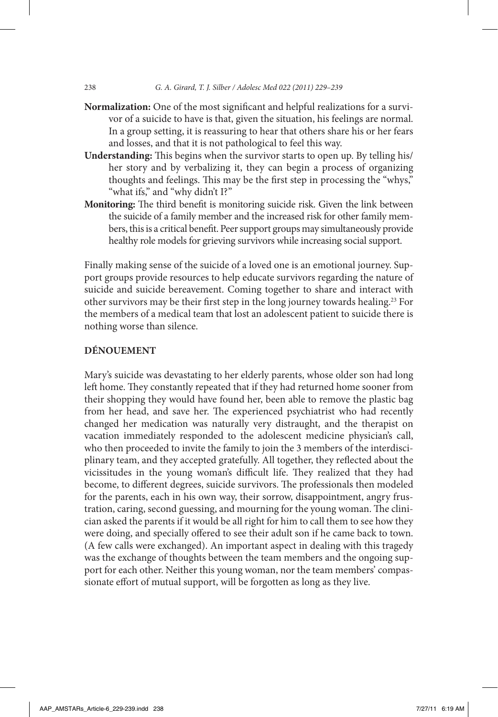238 *G. A. Girard, T. J. Silber / Adolesc Med 022 (2011) 229–239*

- **Normalization:** One of the most significant and helpful realizations for a survivor of a suicide to have is that, given the situation, his feelings are normal. In a group setting, it is reassuring to hear that others share his or her fears and losses, and that it is not pathological to feel this way.
- **Understanding:** This begins when the survivor starts to open up. By telling his/ her story and by verbalizing it, they can begin a process of organizing thoughts and feelings. This may be the first step in processing the "whys," "what ifs," and "why didn't I?"
- **Monitoring:** The third benefit is monitoring suicide risk. Given the link between the suicide of a family member and the increased risk for other family members, this is a critical benefit. Peer support groups may simultaneously provide healthy role models for grieving survivors while increasing social support.

Finally making sense of the suicide of a loved one is an emotional journey. Support groups provide resources to help educate survivors regarding the nature of suicide and suicide bereavement. Coming together to share and interact with other survivors may be their first step in the long journey towards healing.23 For the members of a medical team that lost an adolescent patient to suicide there is nothing worse than silence.

#### **Dénouement**

Mary's suicide was devastating to her elderly parents, whose older son had long left home. They constantly repeated that if they had returned home sooner from their shopping they would have found her, been able to remove the plastic bag from her head, and save her. The experienced psychiatrist who had recently changed her medication was naturally very distraught, and the therapist on vacation immediately responded to the adolescent medicine physician's call, who then proceeded to invite the family to join the 3 members of the interdisciplinary team, and they accepted gratefully. All together, they reflected about the vicissitudes in the young woman's difficult life. They realized that they had become, to different degrees, suicide survivors. The professionals then modeled for the parents, each in his own way, their sorrow, disappointment, angry frustration, caring, second guessing, and mourning for the young woman. The clinician asked the parents if it would be all right for him to call them to see how they were doing, and specially offered to see their adult son if he came back to town. (A few calls were exchanged). An important aspect in dealing with this tragedy was the exchange of thoughts between the team members and the ongoing support for each other. Neither this young woman, nor the team members' compassionate effort of mutual support, will be forgotten as long as they live.